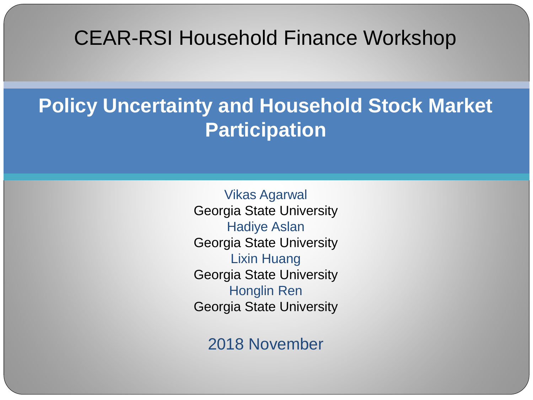#### CEAR-RSI Household Finance Workshop

#### **Policy Uncertainty and Household Stock Market Participation**

Vikas Agarwal Georgia State University Hadiye Aslan Georgia State University Lixin Huang Georgia State University Honglin Ren Georgia State University

2018 November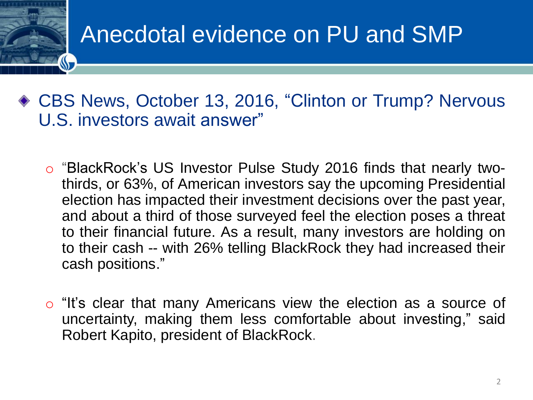### Anecdotal evidence on PU and SMP

- CBS News, October 13, 2016, "Clinton or Trump? Nervous U.S. investors await answer"
	- o "BlackRock's US Investor Pulse Study 2016 finds that nearly twothirds, or 63%, of American investors say the upcoming Presidential election has impacted their investment decisions over the past year, and about a third of those surveyed feel the election poses a threat to their financial future. As a result, many investors are holding on to their cash -- with 26% telling BlackRock they had increased their cash positions."
	- $\circ$  "It's clear that many Americans view the election as a source of uncertainty, making them less comfortable about investing," said Robert Kapito, president of BlackRock.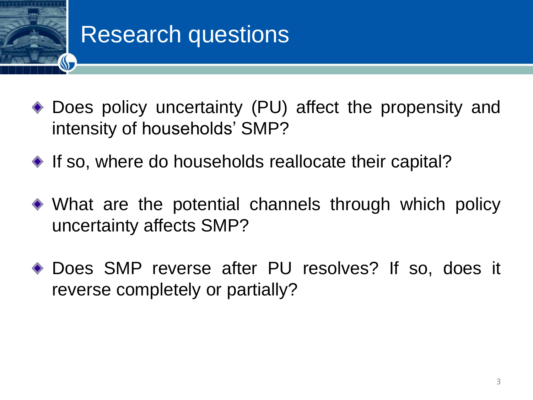# Research questions

- Does policy uncertainty (PU) affect the propensity and intensity of households' SMP?
- $\bullet$  If so, where do households reallocate their capital?
- What are the potential channels through which policy uncertainty affects SMP?
- Does SMP reverse after PU resolves? If so, does it reverse completely or partially?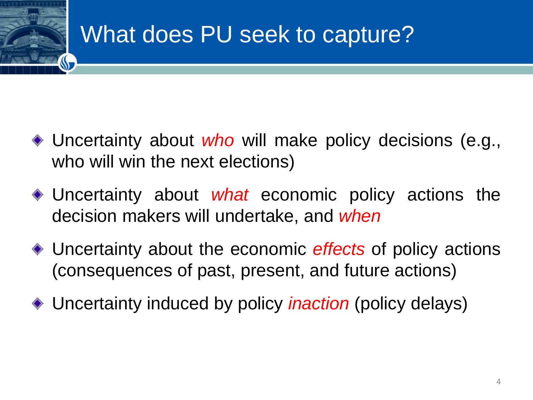### What does PU seek to capture?

- Uncertainty about *who* will make policy decisions (e.g., who will win the next elections)
- Uncertainty about *what* economic policy actions the decision makers will undertake, and *when*
- Uncertainty about the economic *effects* of policy actions (consequences of past, present, and future actions)
- Uncertainty induced by policy *inaction* (policy delays)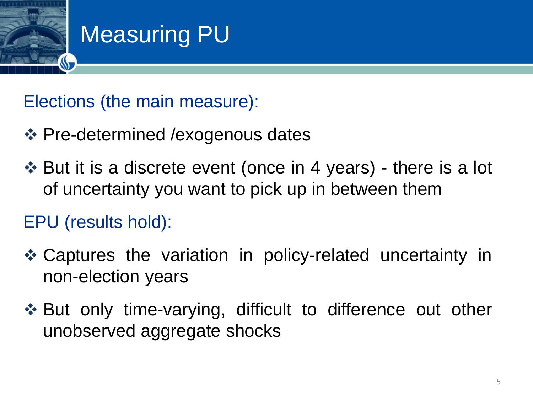

### Measuring PU

Elections (the main measure):

- ❖ Pre-determined /exogenous dates
- ❖ But it is a discrete event (once in 4 years) there is a lot of uncertainty you want to pick up in between them

### EPU (results hold):

- ❖ Captures the variation in policy-related uncertainty in non-election years
- ❖ But only time-varying, difficult to difference out other unobserved aggregate shocks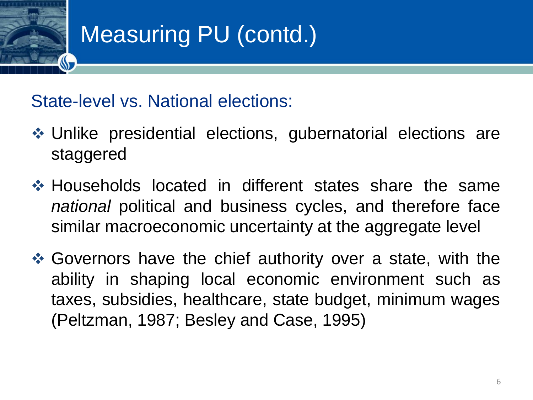## Measuring PU (contd.)

#### State-level vs. National elections:

- ❖ Unlike presidential elections, gubernatorial elections are staggered
- ❖ Households located in different states share the same *national* political and business cycles, and therefore face similar macroeconomic uncertainty at the aggregate level
- ❖ Governors have the chief authority over a state, with the ability in shaping local economic environment such as taxes, subsidies, healthcare, state budget, minimum wages (Peltzman, 1987; Besley and Case, 1995)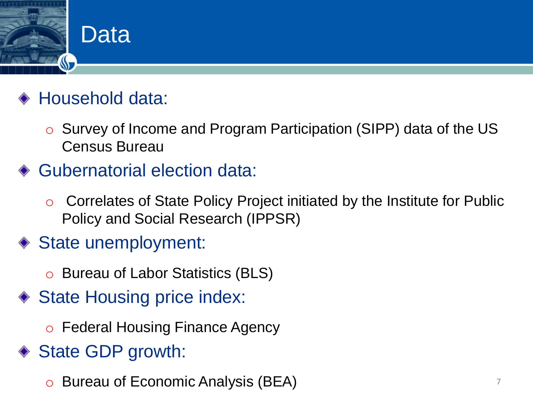

### Household data:

o Survey of Income and Program Participation (SIPP) data of the US Census Bureau

#### ◆ Gubernatorial election data:

- o Correlates of State Policy Project initiated by the Institute for Public Policy and Social Research (IPPSR)
- ◆ State unemployment:
	- o Bureau of Labor Statistics (BLS)
- ◆ State Housing price index:
	- o Federal Housing Finance Agency
- ◆ State GDP growth:
	- o Bureau of Economic Analysis (BEA) <sup>7</sup>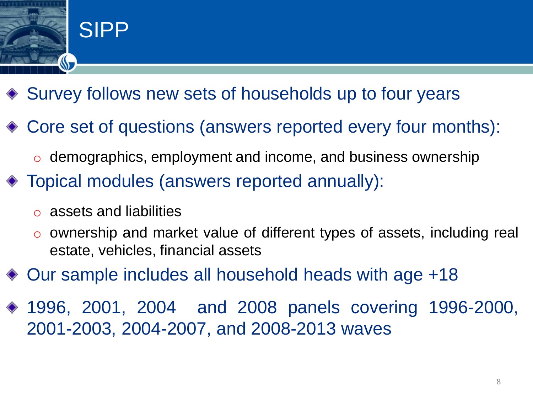

- ◆ Survey follows new sets of households up to four years
- Core set of questions (answers reported every four months):
	- $\circ$  demographics, employment and income, and business ownership
- Topical modules (answers reported annually):
	- o assets and liabilities
	- ownership and market value of different types of assets, including real estate, vehicles, financial assets
- Our sample includes all household heads with age +18
- 1996, 2001, 2004 and 2008 panels covering 1996-2000, 2001-2003, 2004-2007, and 2008-2013 waves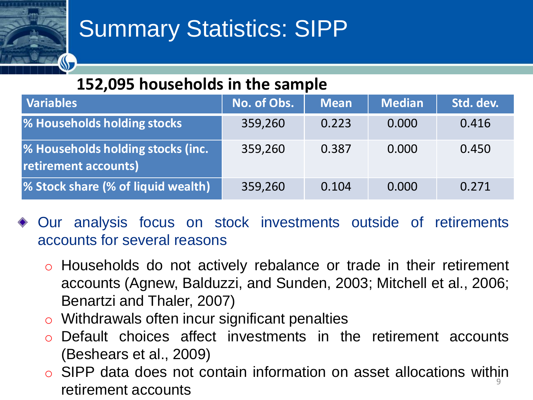### Summary Statistics: SIPP

#### **152,095 households in the sample**

| <b>Variables</b>                                          | No. of Obs. | <b>Mean</b> | <b>Median</b> | Std. dev. |
|-----------------------------------------------------------|-------------|-------------|---------------|-----------|
| % Households holding stocks                               | 359,260     | 0.223       | 0.000         | 0.416     |
| % Households holding stocks (inc.<br>retirement accounts) | 359,260     | 0.387       | 0.000         | 0.450     |
| % Stock share (% of liquid wealth)                        | 359,260     | 0.104       | 0.000         | 0.271     |

- Our analysis focus on stock investments outside of retirements accounts for several reasons
	- o Households do not actively rebalance or trade in their retirement accounts (Agnew, Balduzzi, and Sunden, 2003; Mitchell et al., 2006; Benartzi and Thaler, 2007)
	- $\circ$  Withdrawals often incur significant penalties
	- o Default choices affect investments in the retirement accounts (Beshears et al., 2009)
	- 9  $\circ$  SIPP data does not contain information on asset allocations within retirement accounts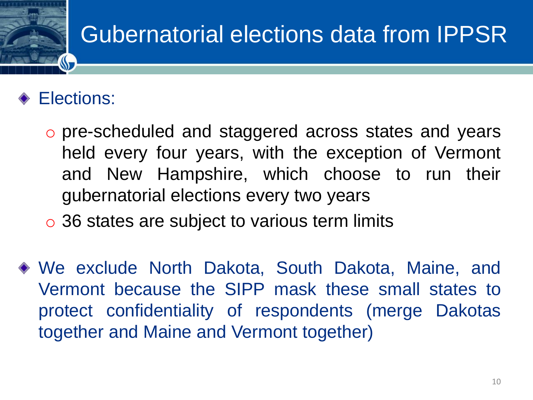### Gubernatorial elections data from IPPSR

#### Elections:

- o pre-scheduled and staggered across states and years held every four years, with the exception of Vermont and New Hampshire, which choose to run their gubernatorial elections every two years
- 36 states are subject to various term limits
- We exclude North Dakota, South Dakota, Maine, and Vermont because the SIPP mask these small states to protect confidentiality of respondents (merge Dakotas together and Maine and Vermont together)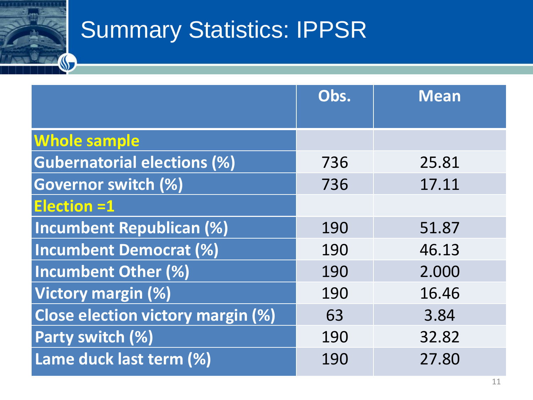### Summary Statistics: IPPSR

|                                          | Obs. | <b>Mean</b> |
|------------------------------------------|------|-------------|
| <b>Whole sample</b>                      |      |             |
| <b>Gubernatorial elections (%)</b>       | 736  | 25.81       |
|                                          |      |             |
| <b>Governor switch (%)</b>               | 736  | 17.11       |
| <b>Election =1</b>                       |      |             |
| <b>Incumbent Republican (%)</b>          | 190  | 51.87       |
| Incumbent Democrat (%)                   | 190  | 46.13       |
| Incumbent Other (%)                      | 190  | 2.000       |
| Victory margin (%)                       | 190  | 16.46       |
| <b>Close election victory margin (%)</b> | 63   | 3.84        |
| <b>Party switch (%)</b>                  | 190  | 32.82       |
| Lame duck last term (%)                  | 190  | 27.80       |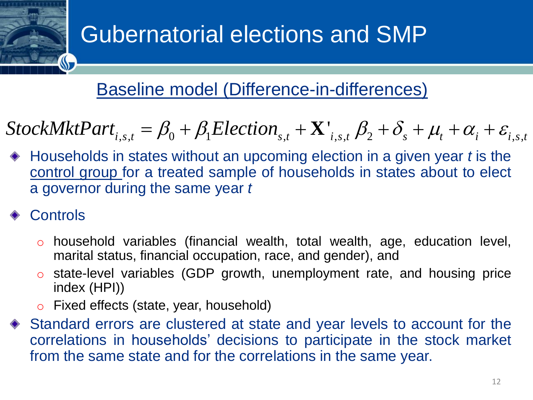### Gubernatorial elections and SMP

#### Baseline model (Difference-in-differences)

$$
StockMktPart_{i,s,t} = \beta_0 + \beta_1 ElectronicCition_{s,t} + \mathbf{X'}_{i,s,t} \beta_2 + \delta_s + \mu_t + \alpha_i + \varepsilon_{i,s,t}
$$

**Dernatorial elections and SMP**<br>
seline model (Difference-in-differences)<br>  $s,t = \beta_0 + \beta_1 Electronic$  (Difference-in-differences)<br>  $s,t = \beta_0 + \beta_1 Electronic$   $\sum_{s,t} + \mathbf{X'}_{i,s,t}$   $\beta_2 + \delta_s + \mu_t + \alpha_i + \varepsilon_{i,s,t}$ <br>
is states without an upcoming elec **i i i** *iii* **s the controller and SMP<br>
<b>i Easeline model (Difference-in-differences)**<br> *StockMktPart<sub>i,s,1</sub></sub> =*  $\beta_0$  *+*  $\beta_i$  *Election<sub>s,1</sub> +*  $\mathbf{X}'_{i,s,t}$  $\beta_2 + \delta_s + \mu_i + \alpha_i + \varepsilon_{i,s,t}$ *<br>*  $\ast$  *Households in states w* Households in states without an upcoming election in a given year *t* is the control group for a treated sample of households in states about to elect a governor during the same year *t*

#### **Controls**

- o household variables (financial wealth, total wealth, age, education level, marital status, financial occupation, race, and gender), and
- o state-level variables (GDP growth, unemployment rate, and housing price index (HPI))
- o Fixed effects (state, year, household)
- Standard errors are clustered at state and year levels to account for the correlations in households' decisions to participate in the stock market from the same state and for the correlations in the same year.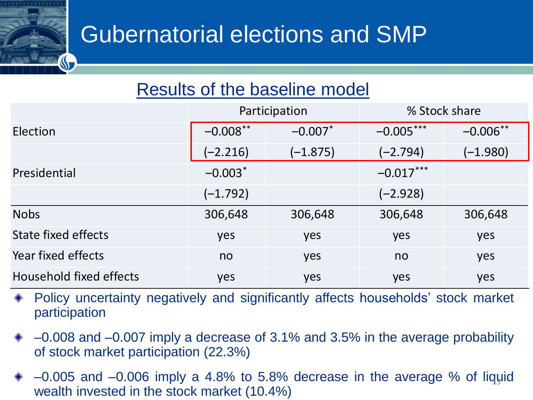### Gubernatorial elections and SMP

#### Results of the baseline model

|                         | Participation |                       | % Stock share |            |
|-------------------------|---------------|-----------------------|---------------|------------|
| Election                | $-0.008$ **   | $-0.007$ <sup>*</sup> | $-0.005***$   | $-0.006**$ |
|                         | $(-2.216)$    | $(-1.875)$            | $(-2.794)$    | $(-1.980)$ |
| Presidential            | $-0.003*$     |                       | $-0.017***$   |            |
|                         | $(-1.792)$    |                       | $(-2.928)$    |            |
| <b>Nobs</b>             | 306,648       | 306,648               | 306,648       | 306,648    |
| State fixed effects     | yes           | yes                   | yes           | yes        |
| Year fixed effects      | no            | yes                   | no            | yes        |
| Household fixed effects | yes           | yes                   | yes           | yes        |

- Policy uncertainty negatively and significantly affects households' stock market participation
- ‒0.008 and ‒0.007 imply a decrease of 3.1% and 3.5% in the average probability of stock market participation (22.3%)
- $-0.005$  and  $-0.006$  imply a 4.8% to 5.8% decrease in the average % of liquid wealth invested in the stock market (10.4%)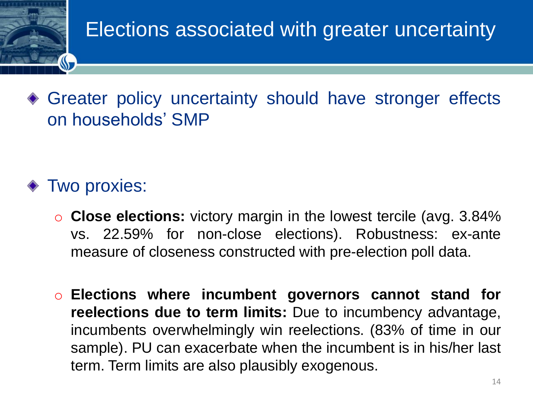### Elections associated with greater uncertainty

Greater policy uncertainty should have stronger effects on households' SMP

#### ◆ Two proxies:

- o **Close elections:** victory margin in the lowest tercile (avg. 3.84% vs. 22.59% for non-close elections). Robustness: ex-ante measure of closeness constructed with pre-election poll data.
- o **Elections where incumbent governors cannot stand for reelections due to term limits:** Due to incumbency advantage, incumbents overwhelmingly win reelections. (83% of time in our sample). PU can exacerbate when the incumbent is in his/her last term. Term limits are also plausibly exogenous.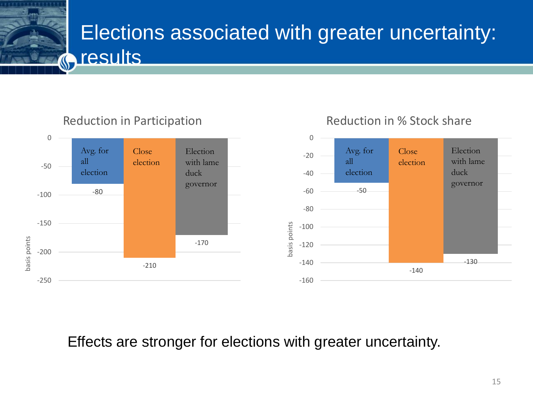### Elections associated with greater uncertainty: **G** results

Reduction in Participation



Reduction in % Stock share

Effects are stronger for elections with greater uncertainty.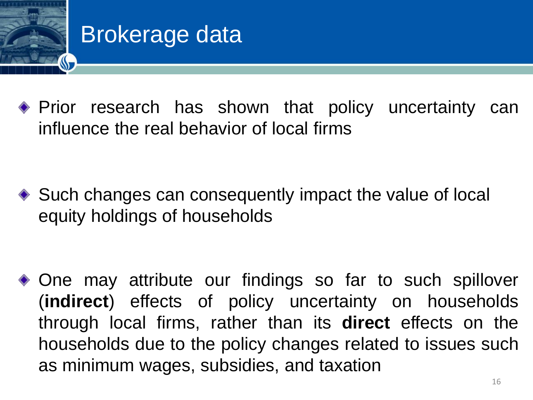

### Brokerage data

Prior research has shown that policy uncertainty can influence the real behavior of local firms

◆ Such changes can consequently impact the value of local equity holdings of households

One may attribute our findings so far to such spillover (**indirect**) effects of policy uncertainty on households through local firms, rather than its **direct** effects on the households due to the policy changes related to issues such as minimum wages, subsidies, and taxation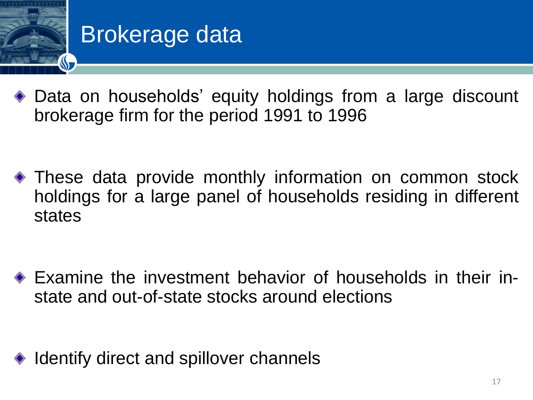

### Brokerage data

- Data on households' equity holdings from a large discount brokerage firm for the period 1991 to 1996
- These data provide monthly information on common stock holdings for a large panel of households residing in different states

Examine the investment behavior of households in their instate and out-of-state stocks around elections

◆ Identify direct and spillover channels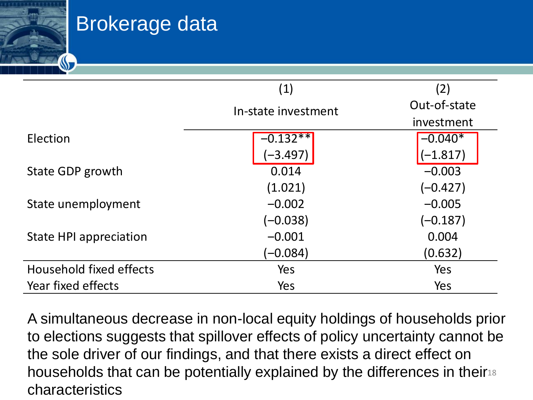

|                         | (1)                 | (2)          |
|-------------------------|---------------------|--------------|
|                         | In-state investment | Out-of-state |
|                         |                     | investment   |
| Election                | $-0.132**$          | $-0.040*$    |
|                         | $(-3.497)$          | $(-1.817)$   |
| State GDP growth        | 0.014               | $-0.003$     |
|                         | (1.021)             | $(-0.427)$   |
| State unemployment      | $-0.002$            | $-0.005$     |
|                         | (–0.038)            | (–0.187)     |
| State HPI appreciation  | $-0.001$            | 0.004        |
|                         | $(-0.084)$          | (0.632)      |
| Household fixed effects | Yes                 | Yes          |
| Year fixed effects      | Yes                 | Yes          |

households that can be potentially explained by the differences in their18 A simultaneous decrease in non-local equity holdings of households prior to elections suggests that spillover effects of policy uncertainty cannot be the sole driver of our findings, and that there exists a direct effect on characteristics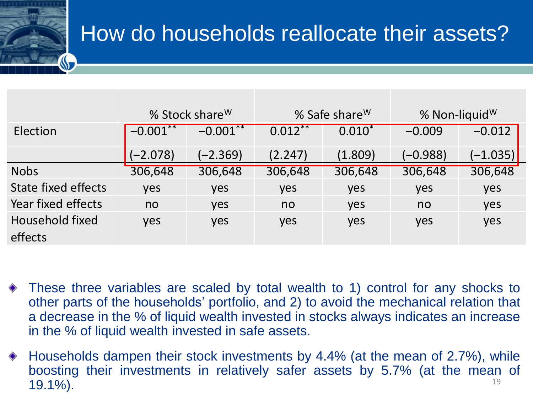### How do households reallocate their assets?

|                            |             | % Stock share <sup>W</sup> |            | % Safe share W | % Non-liquid <sup>W</sup> |            |
|----------------------------|-------------|----------------------------|------------|----------------|---------------------------|------------|
| Election                   | $-0.001***$ | $-0.001**$                 | $0.012***$ | $0.010*$       | $-0.009$                  | $-0.012$   |
|                            | $(-2.078)$  | $(-2.369)$                 | (2.247)    | (1.809)        | (–0.988)                  | $(-1.035)$ |
| <b>Nobs</b>                | 306,648     | 306,648                    | 306,648    | 306,648        | 306,648                   | 306,648    |
| <b>State fixed effects</b> | yes         | yes                        | yes        | yes            | yes                       | yes        |
| Year fixed effects         | no          | yes                        | no         | yes            | no                        | yes        |
| Household fixed<br>effects | yes         | yes                        | yes        | yes            | yes                       | yes        |

- These three variables are scaled by total wealth to 1) control for any shocks to other parts of the households' portfolio, and 2) to avoid the mechanical relation that a decrease in the % of liquid wealth invested in stocks always indicates an increase in the % of liquid wealth invested in safe assets.
- 19 Households dampen their stock investments by 4.4% (at the mean of 2.7%), while boosting their investments in relatively safer assets by 5.7% (at the mean of 19.1%).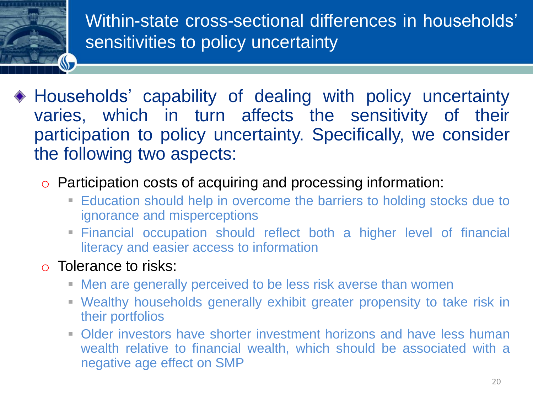

- Households' capability of dealing with policy uncertainty varies, which in turn affects the sensitivity of their participation to policy uncertainty. Specifically, we consider the following two aspects:
	- o Participation costs of acquiring and processing information:
		- Education should help in overcome the barriers to holding stocks due to ignorance and misperceptions
		- **Einancial occupation should reflect both a higher level of financial** literacy and easier access to information
	- o Tolerance to risks:
		- **EXECT** Men are generally perceived to be less risk averse than women
		- Wealthy households generally exhibit greater propensity to take risk in their portfolios
		- **Older investors have shorter investment horizons and have less human** wealth relative to financial wealth, which should be associated with a negative age effect on SMP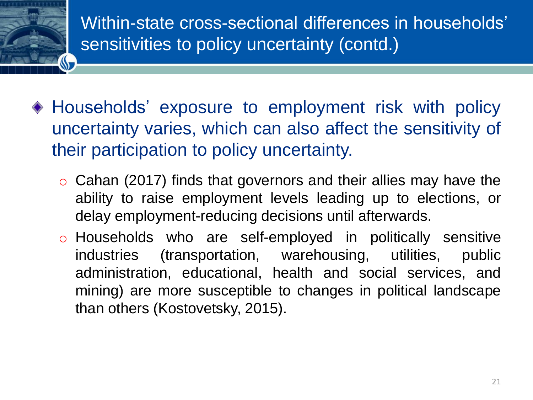Within-state cross-sectional differences in households' sensitivities to policy uncertainty (contd.)

- Households' exposure to employment risk with policy uncertainty varies, which can also affect the sensitivity of their participation to policy uncertainty.
	- $\circ$  Cahan (2017) finds that governors and their allies may have the ability to raise employment levels leading up to elections, or delay employment-reducing decisions until afterwards.
	- o Households who are self-employed in politically sensitive industries (transportation, warehousing, utilities, public administration, educational, health and social services, and mining) are more susceptible to changes in political landscape than others (Kostovetsky, 2015).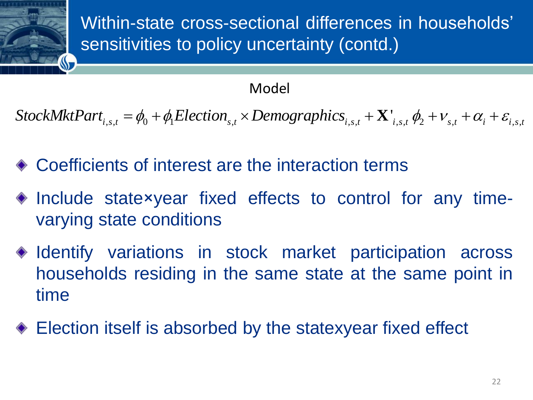

#### Model

 $StockMktPart_{i,s,t} = \phi_0 + \phi_1 ElectronicElection_{s,t} \times Demographies_{i,s,t} + \mathbf{X}^{\prime}_{i,s,t} \phi_2 + \mathbf{V}_{s,t} + \alpha_i + \varepsilon_{i,s,t}$ 

- Coefficients of interest are the interaction terms
- ◆ Include state×year fixed effects to control for any timevarying state conditions
- Model<br>
3.3. =  $\phi_0 + \phi_1Election_{s,t} \times Demographic_{i,s,t} + \mathbf{X'}_{i,s,t} \phi_2 + v_{s,t} + \alpha_i + \varepsilon_{i,s,t}$ <br>
ants of interest are the interaction terms<br>
state×year fixed effects to control for any time-<br>
state×year fixed effects to control for any time  $\triangleleft$  Identify variations in stock market participation across households residing in the same state at the same point in time
- Election itself is absorbed by the statexyear fixed effect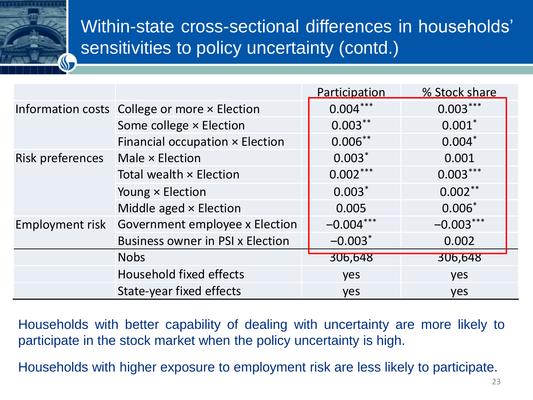Within-state cross-sectional differences in households' sensitivities to policy uncertainty (contd.)

|                                              |                                         | Participation         | % Stock share |
|----------------------------------------------|-----------------------------------------|-----------------------|---------------|
| Information costs College or more x Election |                                         | $0.004***$            | $0.003***$    |
|                                              | Some college × Election                 | $0.003***$            | $0.001*$      |
|                                              | Financial occupation × Election         | $0.006***$            | $0.004*$      |
| Risk preferences Male × Election             |                                         | $0.003*$              | 0.001         |
|                                              | Total wealth × Election                 | $0.002***$            | $0.003***$    |
|                                              | Young × Election                        | $0.003*$              | $0.002***$    |
|                                              | Middle aged × Election                  | 0.005                 | $0.006*$      |
| Employment risk                              | Government employee x Election          | $-0.004***$           | $-0.003***$   |
|                                              | <b>Business owner in PSI x Election</b> | $-0.003$ <sup>*</sup> | 0.002         |
|                                              | <b>Nobs</b>                             | 306,648               | 306,648       |
|                                              | Household fixed effects                 | yes                   | yes           |
|                                              | State-year fixed effects                | yes                   | yes           |

Households with better capability of dealing with uncertainty are more likely to participate in the stock market when the policy uncertainty is high.

Households with higher exposure to employment risk are less likely to participate.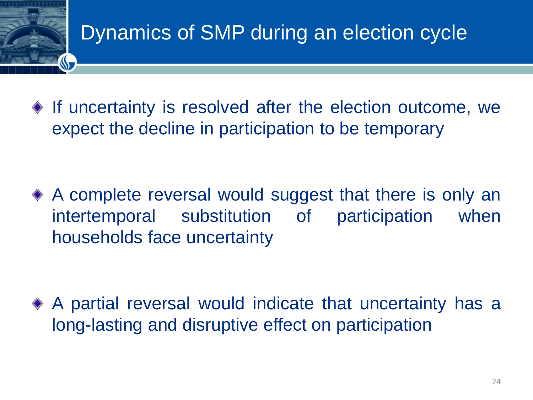### Dynamics of SMP during an election cycle

 $\bullet$  If uncertainty is resolved after the election outcome, we expect the decline in participation to be temporary

A complete reversal would suggest that there is only an intertemporal substitution of participation when households face uncertainty

A partial reversal would indicate that uncertainty has a long-lasting and disruptive effect on participation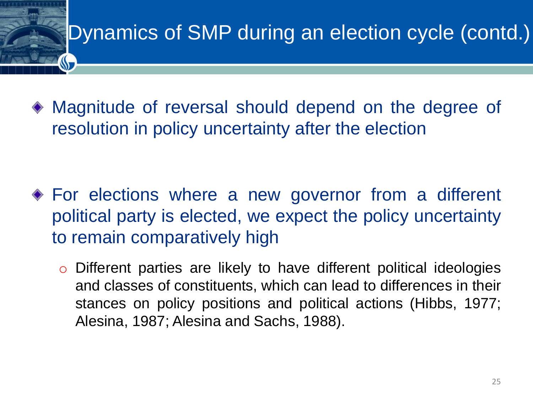### Dynamics of SMP during an election cycle (contd.)

Magnitude of reversal should depend on the degree of resolution in policy uncertainty after the election

- For elections where a new governor from a different political party is elected, we expect the policy uncertainty to remain comparatively high
	- o Different parties are likely to have different political ideologies and classes of constituents, which can lead to differences in their stances on policy positions and political actions (Hibbs, 1977; Alesina, 1987; Alesina and Sachs, 1988).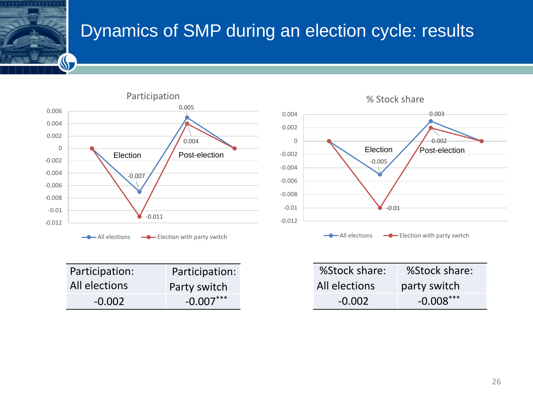#### Dynamics of SMP during an election cycle: results

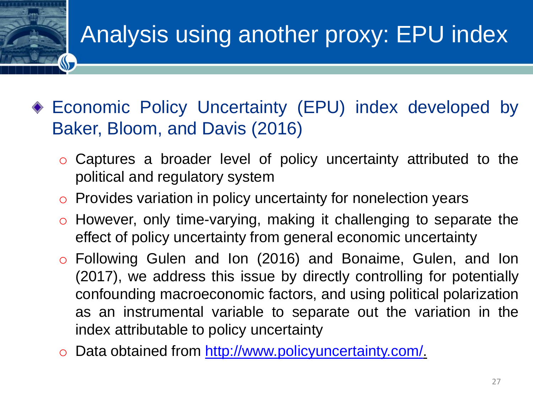### Analysis using another proxy: EPU index

- Economic Policy Uncertainty (EPU) index developed by Baker, Bloom, and Davis (2016)
	- o Captures a broader level of policy uncertainty attributed to the political and regulatory system
	- o Provides variation in policy uncertainty for nonelection years
	- o However, only time-varying, making it challenging to separate the effect of policy uncertainty from general economic uncertainty
	- o Following Gulen and Ion (2016) and Bonaime, Gulen, and Ion (2017), we address this issue by directly controlling for potentially confounding macroeconomic factors, and using political polarization as an instrumental variable to separate out the variation in the index attributable to policy uncertainty
	- o Data obtained from [http://www.policyuncertainty.com/.](http://www.policyuncertainty.com/)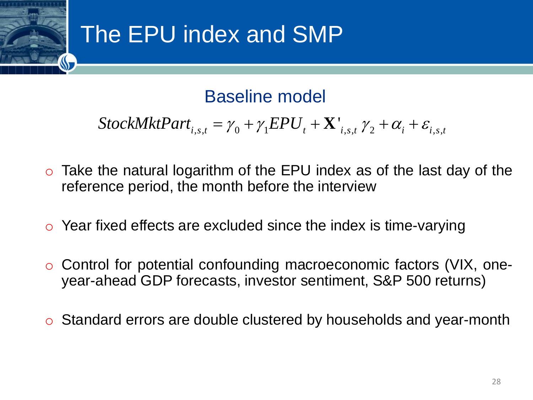### The EPU index and SMP

Baseline model

$$
StockMktPart_{i,s,t} = \gamma_0 + \gamma_1 EPU_t + \mathbf{X'}_{i,s,t} \gamma_2 + \alpha_i + \varepsilon_{i,s,t}
$$

- Moreover, and SMP<br>
Baseline model<br>  $x_{s,t} = \gamma_0 + \gamma_1 EPU_t + \mathbf{X}_{i,s,t} \gamma_2 + \alpha_i + \varepsilon_{i,s,t}$ <br>
arithm of the EPU index as of the last day of the<br>
e month before the interview<br>
e excluded since the index is time-varying<br>
confoundin **i** Baseline model<br> *StockMktPart<sub>i.s.t</sub>* =  $\gamma_0 + \gamma_1 EPU_t + \mathbf{X}_{i,s,t}^{\dagger} \gamma_2 + \alpha_i + \varepsilon_{i,s,t}$ <br>
the natural logarithm of the EPU index as of the last day of the<br>
ince period, the month before the interview<br>
fixed effects ar  $\circ$  Take the natural logarithm of the EPU index as of the last day of the reference period, the month before the interview
- $\circ$  Year fixed effects are excluded since the index is time-varying
- o Control for potential confounding macroeconomic factors (VIX, oneyear-ahead GDP forecasts, investor sentiment, S&P 500 returns)
- $\circ$  Standard errors are double clustered by households and year-month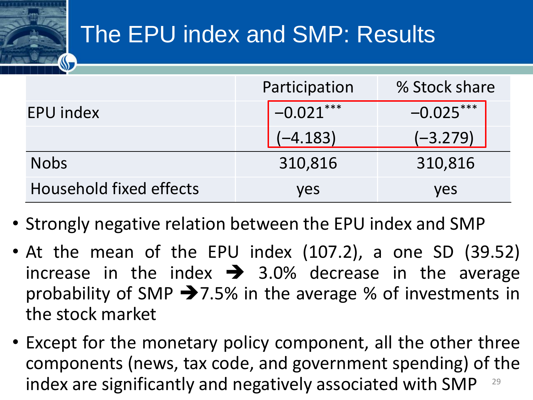### The EPU index and SMP: Results

|                                | Participation | % Stock share |  |
|--------------------------------|---------------|---------------|--|
| <b>EPU index</b>               | $-0.021***$   | $-0.025***$   |  |
|                                | $(-4.183)$    | $(-3.279)$    |  |
| <b>Nobs</b>                    | 310,816       | 310,816       |  |
| <b>Household fixed effects</b> | ves           | ves           |  |

- Strongly negative relation between the EPU index and SMP
- At the mean of the EPU index (107.2), a one SD (39.52) increase in the index  $\rightarrow$  3.0% decrease in the average probability of SMP  $\rightarrow$  7.5% in the average % of investments in the stock market
- 29 • Except for the monetary policy component, all the other three components (news, tax code, and government spending) of the index are significantly and negatively associated with SMP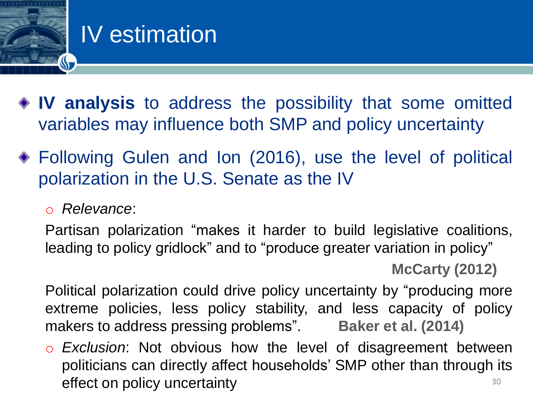

### IV estimation

- **IV analysis** to address the possibility that some omitted variables may influence both SMP and policy uncertainty
- Following Gulen and Ion (2016), use the level of political polarization in the U.S. Senate as the IV
	- o *Relevance*:

Partisan polarization "makes it harder to build legislative coalitions, leading to policy gridlock" and to "produce greater variation in policy" **McCarty (2012)**

Political polarization could drive policy uncertainty by "producing more extreme policies, less policy stability, and less capacity of policy makers to address pressing problems". **Baker et al. (2014)**

o *Exclusion*: Not obvious how the level of disagreement between politicians can directly affect households' SMP other than through its effect on policy uncertainty and the state of the state  $30$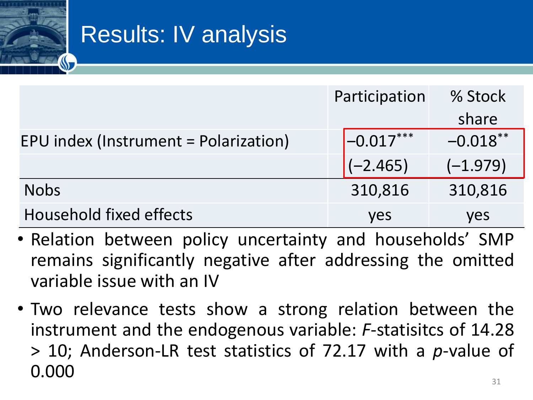### Results: IV analysis

|                                       | Participation            | % Stock    |
|---------------------------------------|--------------------------|------------|
|                                       |                          | share      |
| EPU index (Instrument = Polarization) | $\left[-0.017***\right]$ | $-0.018**$ |
|                                       | $(-2.465)$               | $(-1.979)$ |
| <b>Nobs</b>                           | 310,816                  | 310,816    |
| <b>Household fixed effects</b>        | <b>ves</b>               | yes        |

- Relation between policy uncertainty and households' SMP remains significantly negative after addressing the omitted variable issue with an IV
- Two relevance tests show a strong relation between the instrument and the endogenous variable: *F*-statisitcs of 14.28 > 10; Anderson-LR test statistics of 72.17 with a *p*-value of 0.000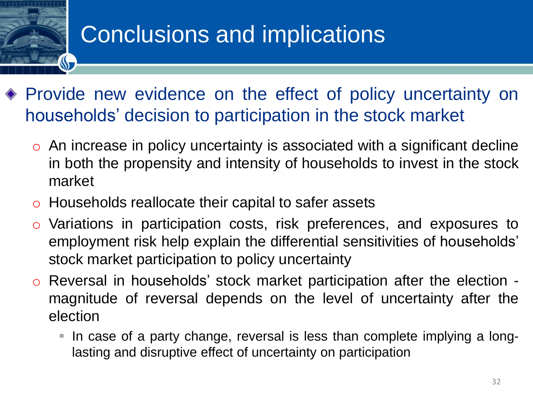### Conclusions and implications

- Provide new evidence on the effect of policy uncertainty on households' decision to participation in the stock market
	- $\circ$  An increase in policy uncertainty is associated with a significant decline in both the propensity and intensity of households to invest in the stock market
	- o Households reallocate their capital to safer assets
	- o Variations in participation costs, risk preferences, and exposures to employment risk help explain the differential sensitivities of households' stock market participation to policy uncertainty
	- o Reversal in households' stock market participation after the election magnitude of reversal depends on the level of uncertainty after the election
		- In case of a party change, reversal is less than complete implying a longlasting and disruptive effect of uncertainty on participation